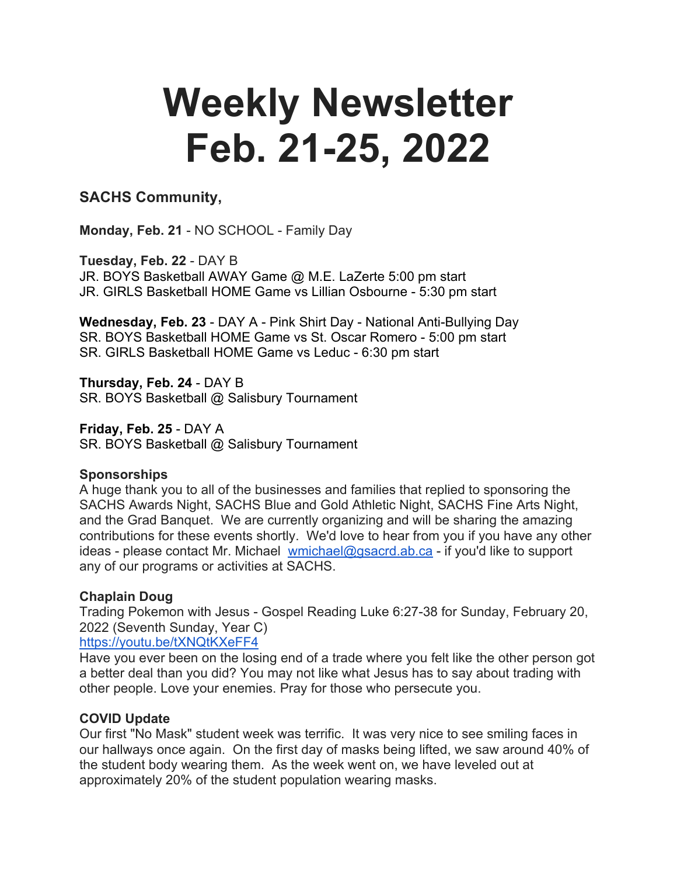# **Weekly Newsletter Feb. 21-25, 2022**

# **SACHS Community,**

**Monday, Feb. 21** - NO SCHOOL - Family Day

**Tuesday, Feb. 22** - DAY B JR. BOYS Basketball AWAY Game @ M.E. LaZerte 5:00 pm start JR. GIRLS Basketball HOME Game vs Lillian Osbourne - 5:30 pm start

**Wednesday, Feb. 23** - DAY A - Pink Shirt Day - National Anti-Bullying Day SR. BOYS Basketball HOME Game vs St. Oscar Romero - 5:00 pm start SR. GIRLS Basketball HOME Game vs Leduc - 6:30 pm start

**Thursday, Feb. 24** - DAY B SR. BOYS Basketball @ Salisbury Tournament

**Friday, Feb. 25** - DAY A SR. BOYS Basketball @ Salisbury Tournament

#### **Sponsorships**

A huge thank you to all of the businesses and families that replied to sponsoring the SACHS Awards Night, SACHS Blue and Gold Athletic Night, SACHS Fine Arts Night, and the Grad Banquet. We are currently organizing and will be sharing the amazing contributions for these events shortly. We'd love to hear from you if you have any other ideas - please contact Mr. Michael wmichael@gsacrd.ab.ca - if you'd like to support any of our programs or activities at SACHS.

#### **Chaplain Doug**

Trading Pokemon with Jesus - Gospel Reading Luke 6:27-38 for Sunday, February 20, 2022 (Seventh Sunday, Year C)

#### https://youtu.be/tXNQtKXeFF4

Have you ever been on the losing end of a trade where you felt like the other person got a better deal than you did? You may not like what Jesus has to say about trading with other people. Love your enemies. Pray for those who persecute you.

#### **COVID Update**

Our first "No Mask" student week was terrific. It was very nice to see smiling faces in our hallways once again. On the first day of masks being lifted, we saw around 40% of the student body wearing them. As the week went on, we have leveled out at approximately 20% of the student population wearing masks.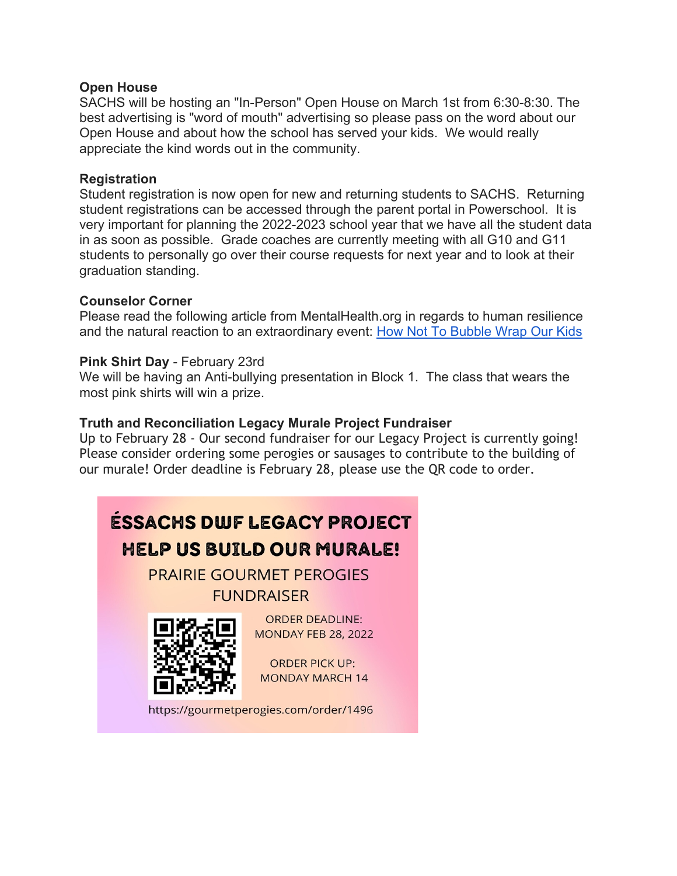#### **Open House**

SACHS will be hosting an "In-Person" Open House on March 1st from 6:30-8:30. The best advertising is "word of mouth" advertising so please pass on the word about our Open House and about how the school has served your kids. We would really appreciate the kind words out in the community.

#### **Registration**

Student registration is now open for new and returning students to SACHS. Returning student registrations can be accessed through the parent portal in Powerschool. It is very important for planning the 2022-2023 school year that we have all the student data in as soon as possible. Grade coaches are currently meeting with all G10 and G11 students to personally go over their course requests for next year and to look at their graduation standing.

# **Counselor Corner**

Please read the following article from MentalHealth.org in regards to human resilience and the natural reaction to an extraordinary event: How Not To Bubble Wrap Our Kids

# **Pink Shirt Day** - February 23rd

We will be having an Anti-bullying presentation in Block 1. The class that wears the most pink shirts will win a prize.

# **Truth and Reconciliation Legacy Murale Project Fundraiser**

Up to February 28 - Our second fundraiser for our Legacy Project is currently going! Please consider ordering some perogies or sausages to contribute to the building of our murale! Order deadline is February 28, please use the QR code to order.



https://gourmetperogies.com/order/1496